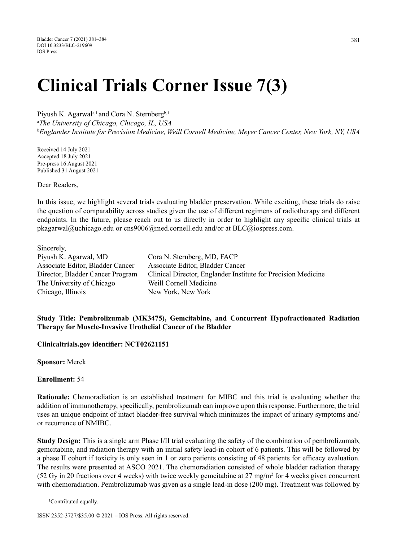# **Clinical Trials Corner Issue 7(3)**

Piyush K. Agarwal<sup>a,1</sup> and Cora N. Sternberg<sup>b,1</sup>

a *The University of Chicago, Chicago, IL, USA* b *Englander Institute for Precision Medicine, Weill Cornell Medicine, Meyer Cancer Center, New York, NY, USA*

Received 14 July 2021 Accepted 18 July 2021 Pre-press 16 August 2021 Published 31 August 2021

Dear Readers,

In this issue, we highlight several trials evaluating bladder preservation. While exciting, these trials do raise the question of comparability across studies given the use of different regimens of radiotherapy and different endpoints. In the future, please reach out to us directly in order to highlight any specific clinical trials at pkagarwal@uchicago.edu or cns9006@med.cornell.edu and/or at BLC@iospress.com.

Sincerely, Piyush K. Agarwal, MD Cora N. Sternberg, MD, FACP Associate Editor, Bladder Cancer Associate Editor, Bladder Cancer The University of Chicago Weill Cornell Medicine Chicago, Illinois New York, New York

Director, Bladder Cancer Program Clinical Director, Englander Institute for Precision Medicine

# **Study Title: Pembrolizumab (MK3475), Gemcitabine, and Concurrent Hypofractionated Radiation Therapy for Muscle-Invasive Urothelial Cancer of the Bladder**

**Clinicaltrials.gov identifier: NCT02621151** 

**Sponsor:** Merck

**Enrollment:** 54

**Rationale:** Chemoradiation is an established treatment for MIBC and this trial is evaluating whether the addition of immunotherapy, specifically, pembrolizumab can improve upon this response. Furthermore, the trial uses an unique endpoint of intact bladder-free survival which minimizes the impact of urinary symptoms and/ or recurrence of NMIBC.

**Study Design:** This is a single arm Phase I/II trial evaluating the safety of the combination of pembrolizumab, gemcitabine, and radiation therapy with an initial safety lead-in cohort of 6 patients. This will be followed by a phase II cohort if toxicity is only seen in 1 or zero patients consisting of 48 patients for efficacy evaluation. The results were presented at ASCO 2021. The chemoradiation consisted of whole bladder radiation therapy (52 Gy in 20 fractions over 4 weeks) with twice weekly gemcitabine at  $27 \text{ mg/m}^2$  for 4 weeks given concurrent with chemoradiation. Pembrolizumab was given as a single lead-in dose (200 mg). Treatment was followed by

ISSN 2352-3727/\$35.00 © 2021 – IOS Press. All rights reserved.

 <sup>1</sup> Contributed equally.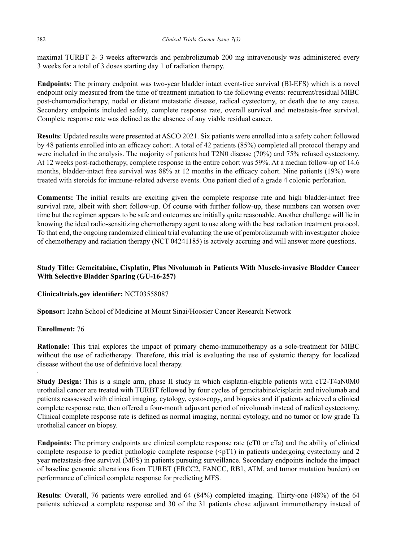maximal TURBT 2- 3 weeks afterwards and pembrolizumab 200 mg intravenously was administered every 3 weeks for a total of 3 doses starting day 1 of radiation therapy.

**Endpoints:** The primary endpoint was two-year bladder intact event-free survival (BI-EFS) which is a novel endpoint only measured from the time of treatment initiation to the following events: recurrent/residual MIBC post-chemoradiotherapy, nodal or distant metastatic disease, radical cystectomy, or death due to any cause. Secondary endpoints included safety, complete response rate, overall survival and metastasis-free survival. Complete response rate was defined as the absence of any viable residual cancer.

**Results**: Updated results were presented at ASCO 2021. Six patients were enrolled into a safety cohort followed by 48 patients enrolled into an efficacy cohort. A total of 42 patients (85%) completed all protocol therapy and were included in the analysis. The majority of patients had T2N0 disease (70%) and 75% refused cystectomy. At 12 weeks post-radiotherapy, complete response in the entire cohort was 59%. At a median follow-up of 14.6 months, bladder-intact free survival was 88% at 12 months in the efficacy cohort. Nine patients (19%) were treated with steroids for immune-related adverse events. One patient died of a grade 4 colonic perforation.

**Comments:** The initial results are exciting given the complete response rate and high bladder-intact free survival rate, albeit with short follow-up. Of course with further follow-up, these numbers can worsen over time but the regimen appears to be safe and outcomes are initially quite reasonable. Another challenge will lie in knowing the ideal radio-sensitizing chemotherapy agent to use along with the best radiation treatment protocol. To that end, the ongoing randomized clinical trial evaluating the use of pembrolizumab with investigator choice of chemotherapy and radiation therapy (NCT 04241185) is actively accruing and will answer more questions.

# **Study Title: Gemcitabine, Cisplatin, Plus Nivolumab in Patients With Muscle-invasive Bladder Cancer With Selective Bladder Sparing (GU-16-257)**

#### **Clinicaltrials.gov identifier: NCT03558087**

**Sponsor:** Icahn School of Medicine at Mount Sinai/Hoosier Cancer Research Network

#### **Enrollment:** 76

**Rationale:** This trial explores the impact of primary chemo-immunotherapy as a sole-treatment for MIBC without the use of radiotherapy. Therefore, this trial is evaluating the use of systemic therapy for localized disease without the use of definitive local therapy.

**Study Design:** This is a single arm, phase II study in which cisplatin-eligible patients with cT2-T4aN0M0 urothelial cancer are treated with TURBT followed by four cycles of gemcitabine/cisplatin and nivolumab and patients reassessed with clinical imaging, cytology, cystoscopy, and biopsies and if patients achieved a clinical complete response rate, then offered a four-month adjuvant period of nivolumab instead of radical cystectomy. Clinical complete response rate is defined as normal imaging, normal cytology, and no tumor or low grade Ta urothelial cancer on biopsy.

**Endpoints:** The primary endpoints are clinical complete response rate (cT0 or cTa) and the ability of clinical complete response to predict pathologic complete response (<pT1) in patients undergoing cystectomy and 2 year metastasis-free survival (MFS) in patients pursuing surveillance. Secondary endpoints include the impact of baseline genomic alterations from TURBT (ERCC2, FANCC, RB1, ATM, and tumor mutation burden) on performance of clinical complete response for predicting MFS.

**Results**: Overall, 76 patients were enrolled and 64 (84%) completed imaging. Thirty-one (48%) of the 64 patients achieved a complete response and 30 of the 31 patients chose adjuvant immunotherapy instead of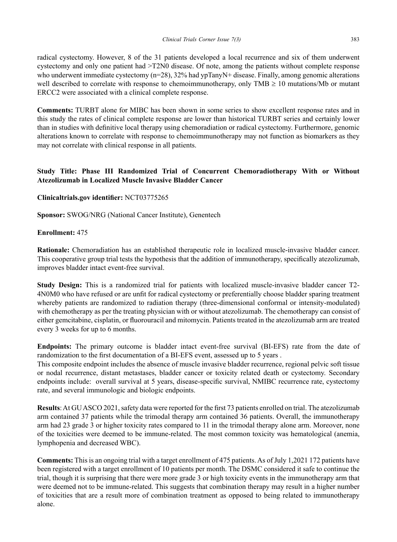radical cystectomy. However, 8 of the 31 patients developed a local recurrence and six of them underwent cystectomy and only one patient had >T2N0 disease. Of note, among the patients without complete response who underwent immediate cystectomy (n=28), 32% had ypTanyN+ disease. Finally, among genomic alterations well described to correlate with response to chemoimmunotherapy, only TMB  $\geq 10$  mutations/Mb or mutant ERCC2 were associated with a clinical complete response.

**Comments:** TURBT alone for MIBC has been shown in some series to show excellent response rates and in this study the rates of clinical complete response are lower than historical TURBT series and certainly lower than in studies with definitive local therapy using chemoradiation or radical cystectomy. Furthermore, genomic alterations known to correlate with response to chemoimmunotherapy may not function as biomarkers as they may not correlate with clinical response in all patients.

# **Study Title: Phase III Randomized Trial of Concurrent Chemoradiotherapy With or Without Atezolizumab in Localized Muscle Invasive Bladder Cancer**

#### **Clinicaltrials.gov identifier: NCT03775265**

**Sponsor:** SWOG/NRG (National Cancer Institute), Genentech

#### **Enrollment:** 475

**Rationale:** Chemoradiation has an established therapeutic role in localized muscle-invasive bladder cancer. This cooperative group trial tests the hypothesis that the addition of immunotherapy, specifically atezolizumab, improves bladder intact event-free survival.

**Study Design:** This is a randomized trial for patients with localized muscle-invasive bladder cancer T2- 4N0M0 who have refused or are unfit for radical cystectomy or preferentially choose bladder sparing treatment whereby patients are randomized to radiation therapy (three-dimensional conformal or intensity-modulated) with chemotherapy as per the treating physician with or without atezolizumab. The chemotherapy can consist of either gemcitabine, cisplatin, or fluorouracil and mitomycin. Patients treated in the atezolizumab arm are treated every 3 weeks for up to 6 months.

**Endpoints:** The primary outcome is bladder intact event-free survival (BI-EFS) rate from the date of randomization to the first documentation of a BI-EFS event, assessed up to 5 years.

This composite endpoint includes the absence of muscle invasive bladder recurrence, regional pelvic soft tissue or nodal recurrence, distant metastases, bladder cancer or toxicity related death or cystectomy. Secondary endpoints include: overall survival at 5 years, disease-specific survival, NMIBC recurrence rate, cystectomy rate, and several immunologic and biologic endpoints.

**Results**: At GU ASCO 2021, safety data were reported for the first 73 patients enrolled on trial. The atezolizumab arm contained 37 patients while the trimodal therapy arm contained 36 patients. Overall, the immunotherapy arm had 23 grade 3 or higher toxicity rates compared to 11 in the trimodal therapy alone arm. Moreover, none of the toxicities were deemed to be immune-related. The most common toxicity was hematological (anemia, lymphopenia and decreased WBC).

**Comments:** This is an ongoing trial with a target enrollment of 475 patients. As of July 1,2021 172 patients have been registered with a target enrollment of 10 patients per month. The DSMC considered it safe to continue the trial, though it is surprising that there were more grade 3 or high toxicity events in the immunotherapy arm that were deemed not to be immune-related. This suggests that combination therapy may result in a higher number of toxicities that are a result more of combination treatment as opposed to being related to immunotherapy alone.